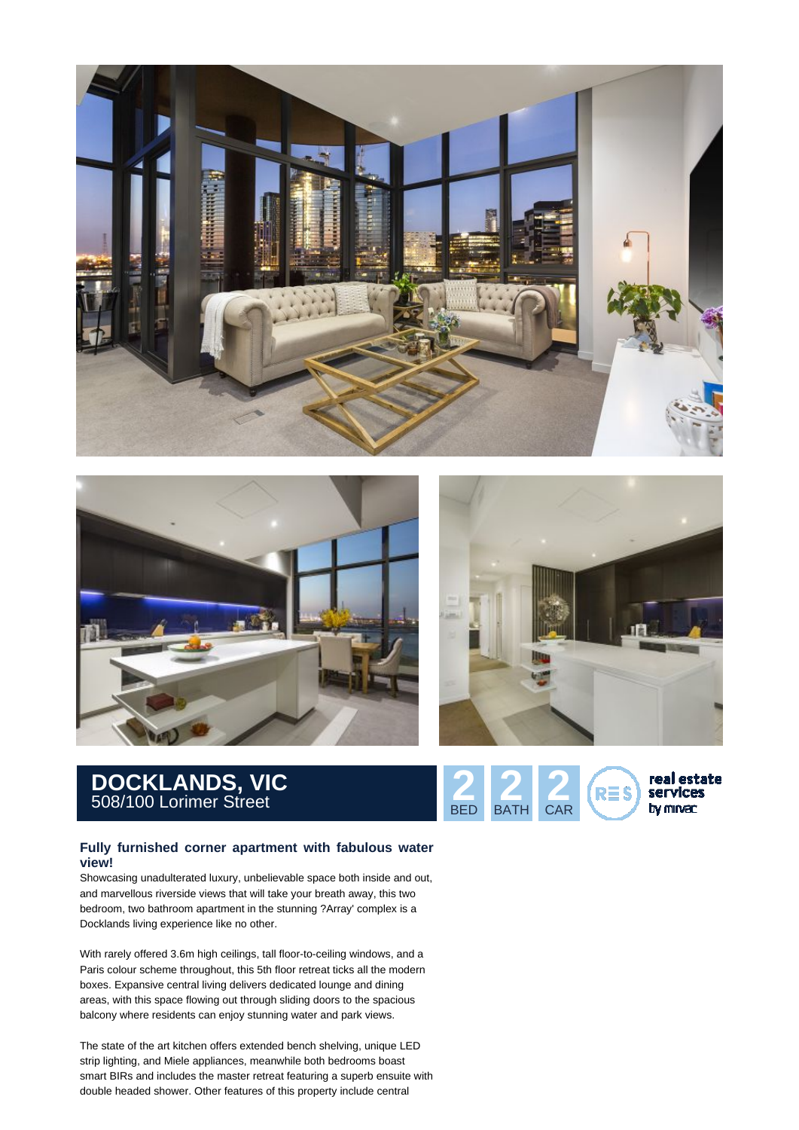





## **DOCKLANDS, VIC** 508/100 Lorimer Street **2 2 2**

## **Fully furnished corner apartment with fabulous water view!**

Showcasing unadulterated luxury, unbelievable space both inside and out, and marvellous riverside views that will take your breath away, this two bedroom, two bathroom apartment in the stunning ?Array' complex is a Docklands living experience like no other.

With rarely offered 3.6m high ceilings, tall floor-to-ceiling windows, and a Paris colour scheme throughout, this 5th floor retreat ticks all the modern boxes. Expansive central living delivers dedicated lounge and dining areas, with this space flowing out through sliding doors to the spacious balcony where residents can enjoy stunning water and park views.

The state of the art kitchen offers extended bench shelving, unique LED strip lighting, and Miele appliances, meanwhile both bedrooms boast smart BIRs and includes the master retreat featuring a superb ensuite with double headed shower. Other features of this property include central

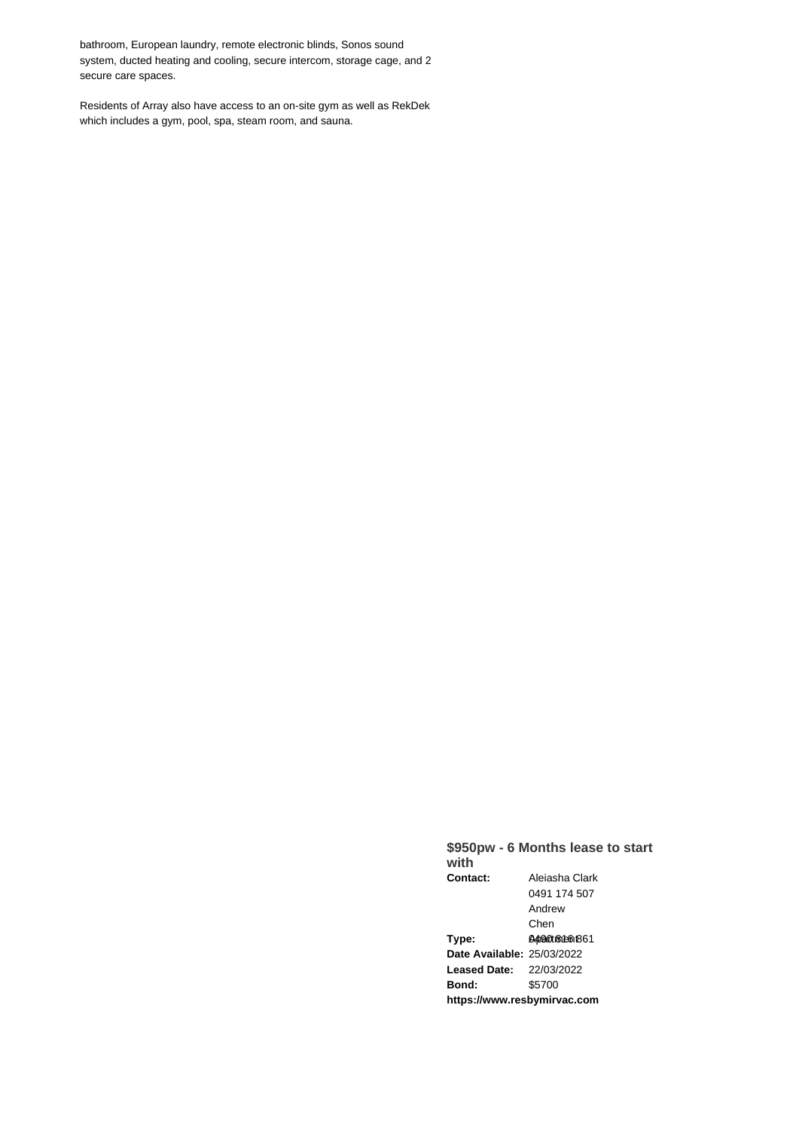bathroom, European laundry, remote electronic blinds, Sonos sound system, ducted heating and cooling, secure intercom, storage cage, and 2 secure care spaces.

Residents of Array also have access to an on-site gym as well as RekDek which includes a gym, pool, spa, steam room, and sauna.

## **\$950pw - 6 Months lease to start with Contact:** Aleiasha Clark 0491 174 507 Andrew Chen **Type:** 04490 the 045 **Date Available:** 25/03/2022 **Leased Date:** 22/03/2022 **Bond:** \$5700 **https://www.resbymirvac.com**